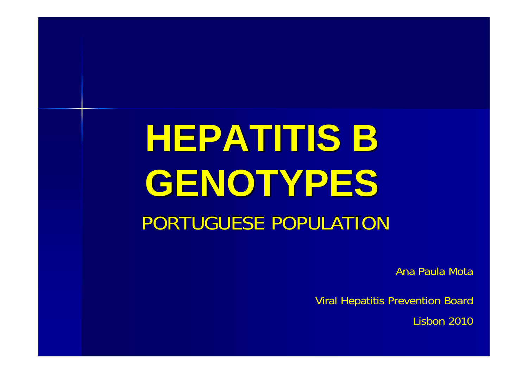# **HEPATITIS B GENOTYPES** PORTUGUESE POPULATION

Ana Paula Mota

Viral Hepatitis Prevention Board

Lisbon 2010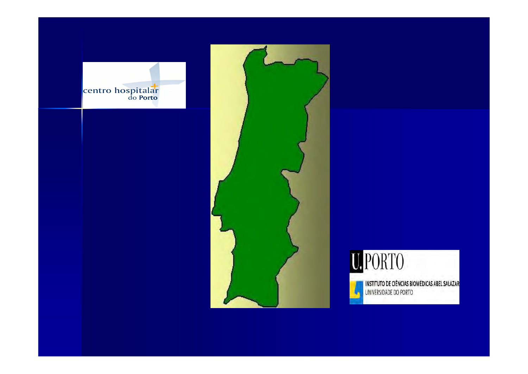





INSTITUTO DE CIÊNCIAS BIOMÉDICAS ABEL SALAZAR<br>UNIVERSIDADE DO PORTO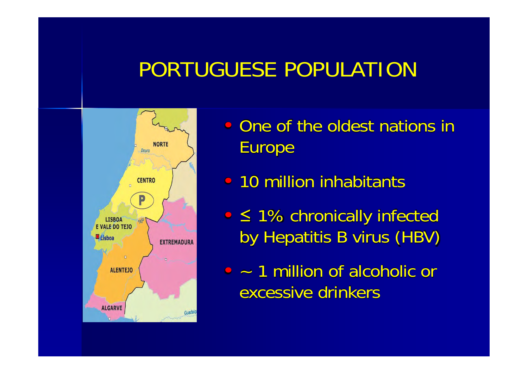#### PORTUGUESE POPULATION



- One of the oldest nations in Europe
- 10 million inhabitants
- • ≤ 1% chronically infected by Hepatitis B virus (HBV)
- – 1 million of alcoholic or excessive drinkers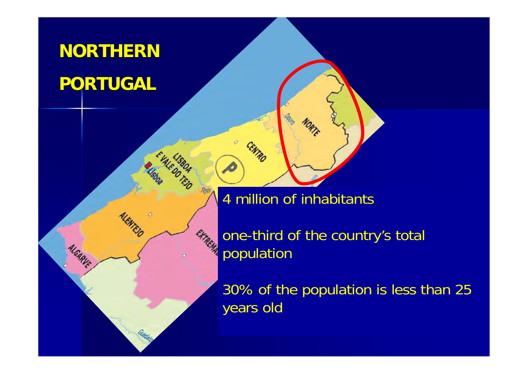#### **NORTHERN PORTUGAL**

ALGARVE

4 million of inhabitants

*the country's total* population

> 30% of the population is less than 25 years old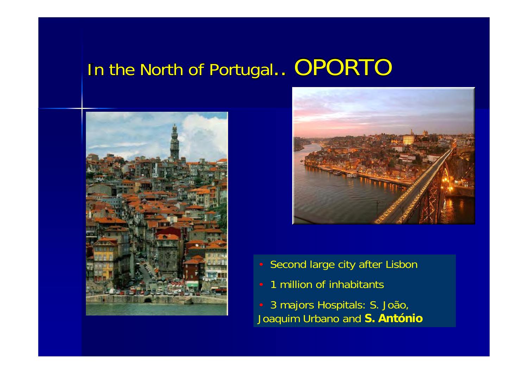#### In the North of Portugal.. OPORTO





- Second large city after Lisbon
- 1 million of inhabitants

 3 majors Hospitals: S. João, Joaquim Urbano and **S. António**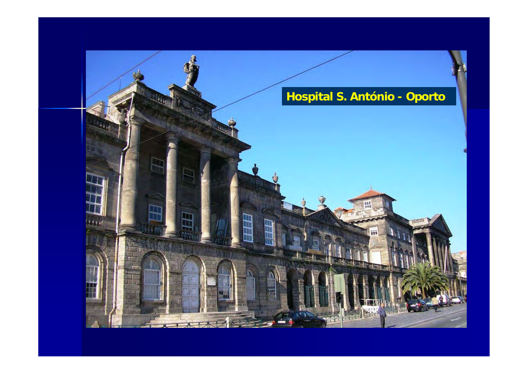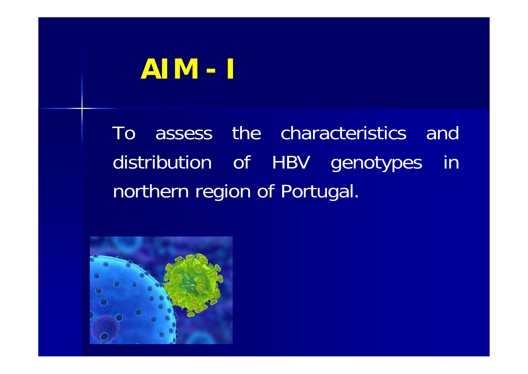# **AIM - I**

To assess the characteristics and distribution of HBV genotypes in northern region of Portugal.

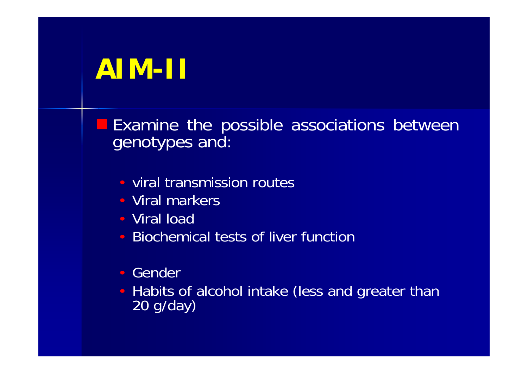# **AIM-II**

Examine the possible associations between genotypes and:

- viral transmission routes
- Viral markers
- Viral load
- Biochemical tests of liver function
- Gender
- Habits of alcohol intake (less and greater than 20 g/day)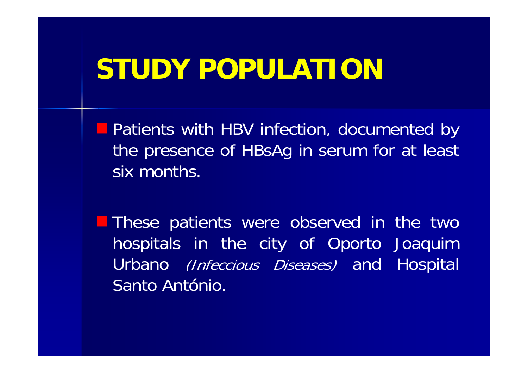## **STUDY POPULATION**

**Departs with HBV infection, documented by** the presence of HBsAg in serum for at least six months.

**These patients were observed in the two** hospitals in the city of Oporto Joaquim Urbano *(Infeccious Diseases)* and Hospital Santo António.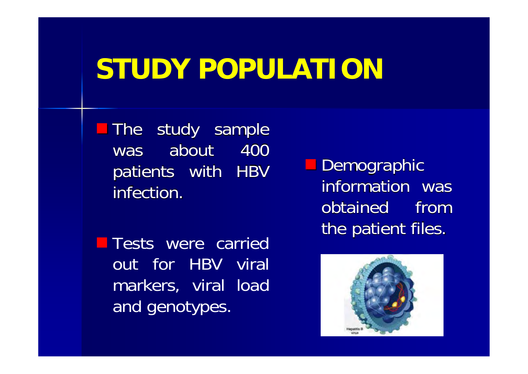# **STUDY POPULATION**

The study sample was about 400 patients with HBV infection.

**Tests were carried** out for HBV viral markers, viral load and genotypes.

**Demographic** information was obtained fromthe patient files.

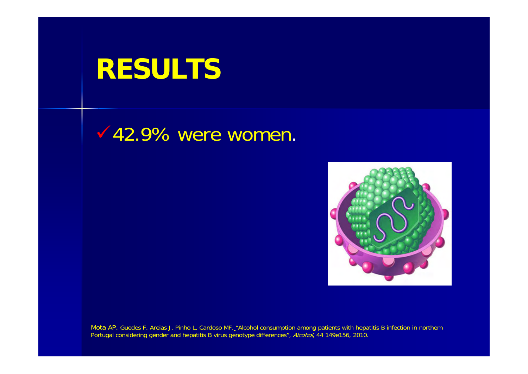#### $\sqrt{42.9\%}$  were women.



Mota AP, Guedes F, Areias J, Pinho L, Cardoso MF.\_"Alcohol consumption among patients with hepatitis B infection in northern Portugal considering gender and hepatitis B virus genotype differences", Alcohol, 44 149e156, 2010.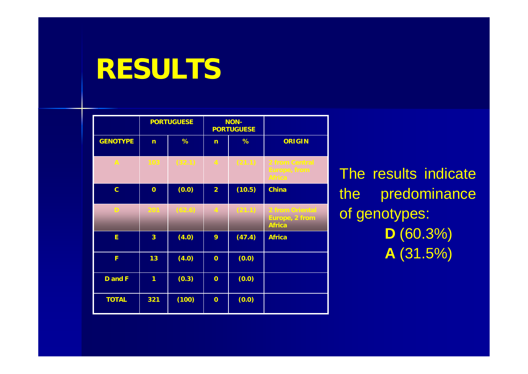|                 | <b>PORTUGUESE</b>       |        | <b>NON-</b><br><b>PORTUGUESE</b> |        |                                                           |
|-----------------|-------------------------|--------|----------------------------------|--------|-----------------------------------------------------------|
| <b>GENOTYPE</b> | $\overline{ }$          | %      | n                                | %      | <b>ORIGIN</b>                                             |
| $\mathbb{A}^+$  | 103                     | (32.1) | $\mathcal{A}_i$                  | (21.1) | 2 from Central<br>Europe, from<br><b>Africa</b>           |
| $\mathbf{C}$    | $\overline{0}$          | (0.0)  | $\overline{2}$                   | (10.5) | <b>China</b>                                              |
| D               | 201                     | (62.6) | $\overline{4}$                   | (21.1) | 2 from Oriental<br><b>Europe, 2 from</b><br><b>Africa</b> |
| E.              | $\overline{\mathbf{3}}$ | (4.0)  | 9                                | (47.4) | <b>Africa</b>                                             |
| F               | 13                      | (4.0)  | $\mathbf 0$                      | (0.0)  |                                                           |
| <b>D</b> and F  | 1                       | (0.3)  | $\mathbf 0$                      | (0.0)  |                                                           |
| <b>TOTAL</b>    | 321                     | (100)  | $\overline{0}$                   | (0.0)  |                                                           |

The results indicate the predominance of genotypes: **D** (60.3%) **A** (31.5%)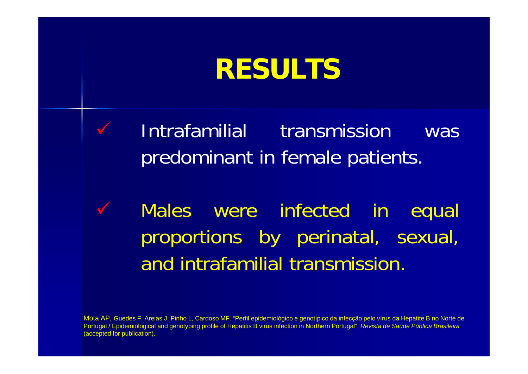$\checkmark$ 

 $\checkmark$ 

 Intrafamilial transmission was predominant in female patients.

 Males were infected in equal proportions by perinatal, sexual, and intrafamilial transmission.

Mota AP, Guedes F, Areias J, Pinho L, Cardoso MF. "Perfil epidemiológico e genotípico da infecção pelo vírus da Hepatite B no Norte de Portugal / Epidemiological and genotyping profile of Hepatitis B virus infection in Northern Portugal", *Revista de Saúde Pública Brasileira*  (accepted for publication).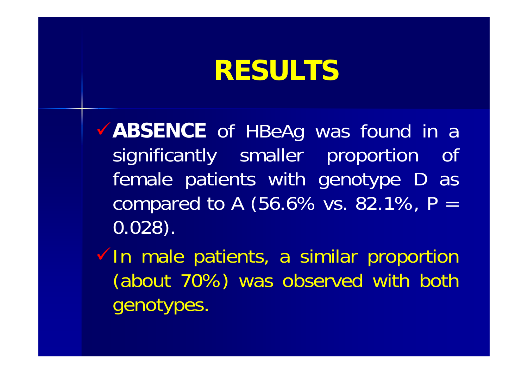9**ABSENCE** of HBeAg was found in <sup>a</sup> significantly smaller proportion of female patients with genotype D as compared to A (56.6% vs. 82.1%,  $P =$ 0.028).

 $\checkmark$  In male patients, a similar proportion (about 70%) was observed with both genotypes.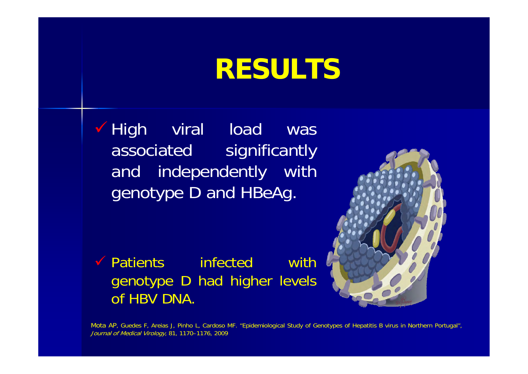$\checkmark$  High viral load was associated significantly and independently with genotype D and HBeAg.



◆ Patients infected with genotype D had higher levels of HBV DNA.

Mota AP, Guedes F, Areias J, Pinho L, Cardoso MF. "Epidemiological Study of Genotypes of Hepatitis B virus in Northern Portugal", Journal of Medical Virology, 81, 1170–1176, 2009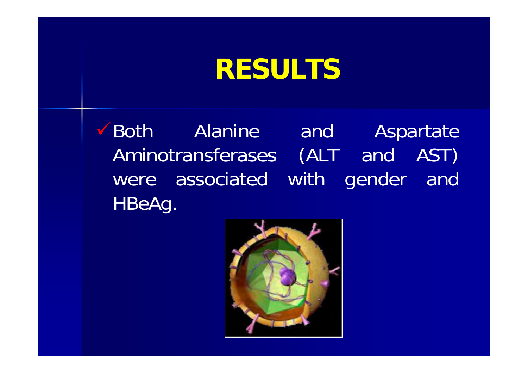Both Alanine and Aspartate Aminotransferases (ALT and AST) were associated with gender and HBeAg.

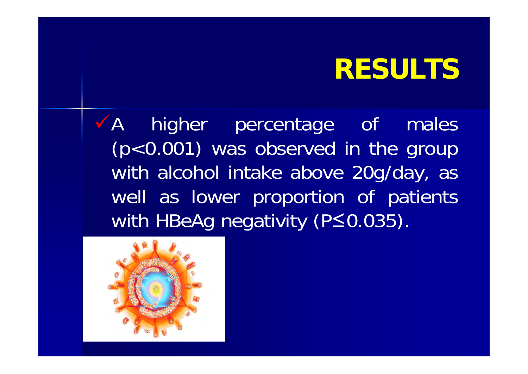<sup>9</sup>A higher percentage of males (p<0.001) was observed in the group with alcohol intake above 20g/day, as well as lower proportion of patients with HBeAg negativity (P≤0.035).

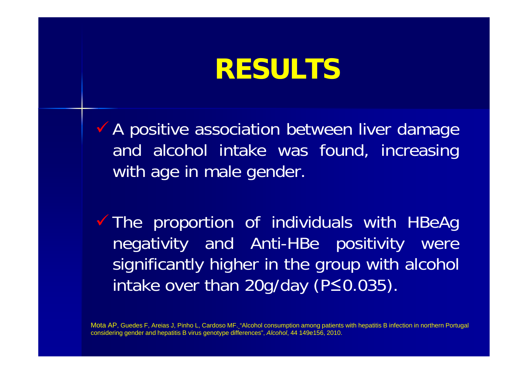**A positive association between liver damage** and alcohol intake was found, increasing with age in male gender.

The proportion of individuals with HBeAg negativity and Anti-HBe positivity were significantly higher in the group with alcohol intake over than 20g/day (P≤0.035).

Mota AP, Guedes F, Areias J, Pinho L, Cardoso MF. "Alcohol consumption among patients with hepatitis B infection in northern Portugal considering gender and hepatitis B virus genotype differences", *Alcohol*, 44 149e156, 2010.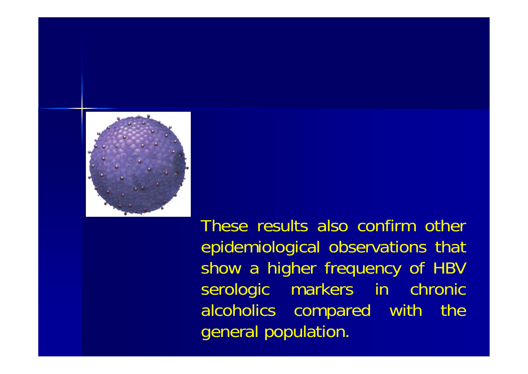

These results also confirm other epidemiological observations that show <sup>a</sup> higher frequency of HBV serologic markers in chronic alcoholics compared with the general population.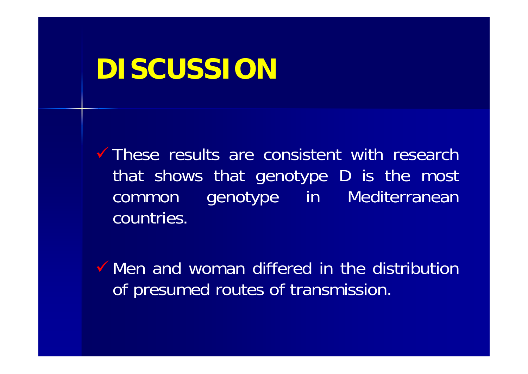$\checkmark$  These results are consistent with research that shows that genotype D is the most common genotype in Mediterranean countries.

 $\checkmark$  Men and woman differed in the distribution of presumed routes of transmission.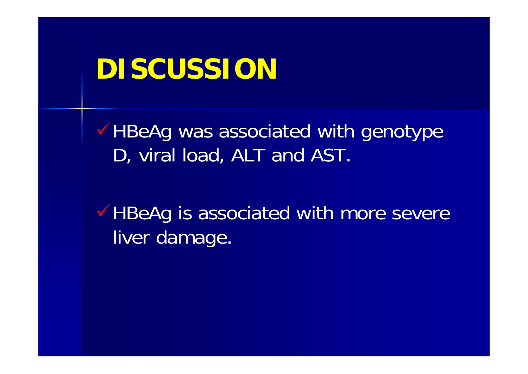$\checkmark$  HBeAg was associated with genotype D, viral load, ALT and AST.

◆ HBeAg is associated with more severe liver damage.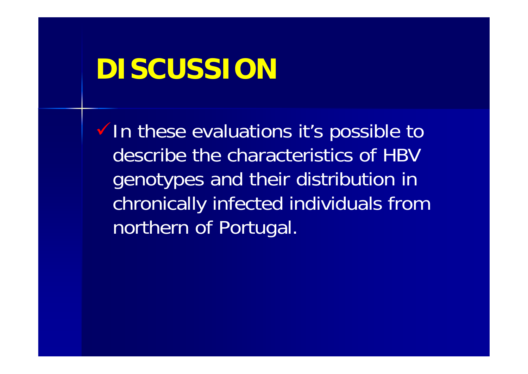$\checkmark$  In these evaluations it's possible to describe the characteristics of HBV genotypes and their distribution in chronically infected individuals from northern of Portugal.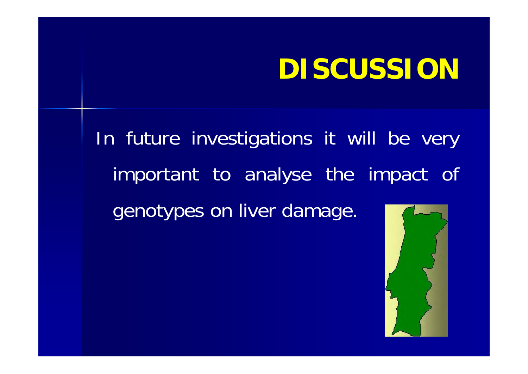In future investigations it will be very important to analyse the impact of genotypes on liver damage.